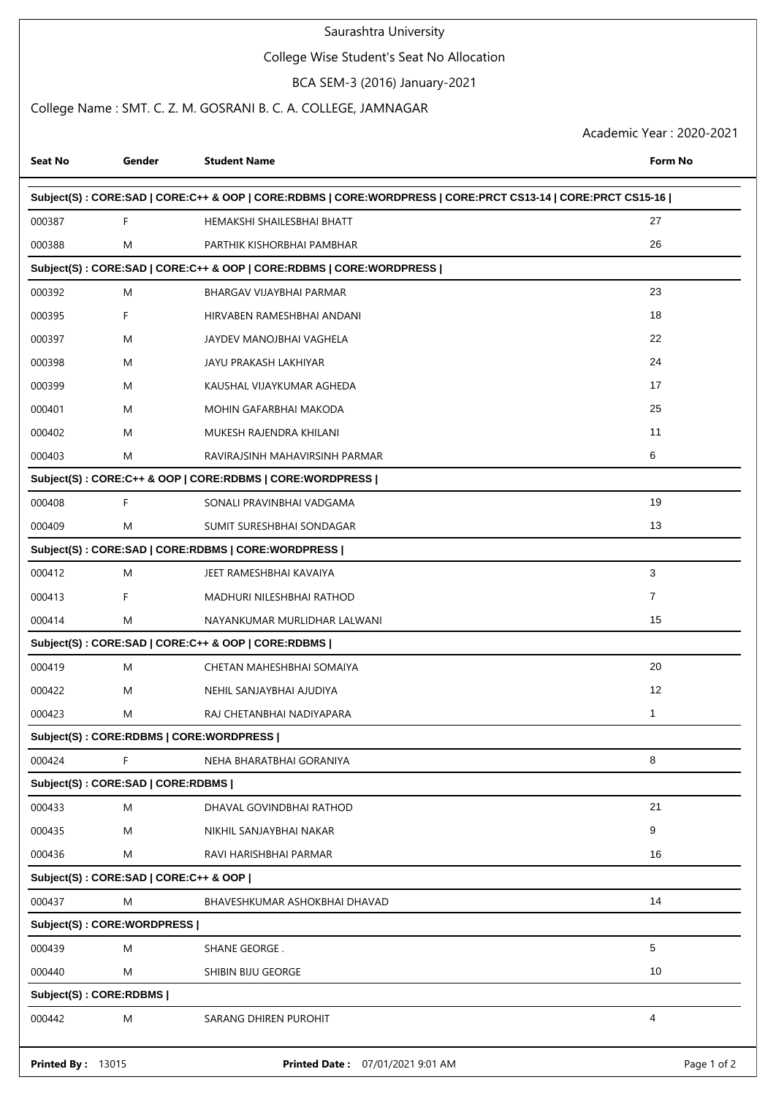## Saurashtra University

## College Wise Student's Seat No Allocation

BCA SEM-3 (2016) January-2021

## College Name : SMT. C. Z. M. GOSRANI B. C. A. COLLEGE, JAMNAGAR

Academic Year : 2020-2021

| <b>Seat No</b>           | Gender                                | <b>Student Name</b>                                                                                         | Form No     |
|--------------------------|---------------------------------------|-------------------------------------------------------------------------------------------------------------|-------------|
|                          |                                       | Subject(S): CORE:SAD   CORE:C++ & OOP   CORE:RDBMS   CORE:WORDPRESS   CORE:PRCT CS13-14   CORE:PRCT CS15-16 |             |
| 000387                   | F                                     | HEMAKSHI SHAILESBHAI BHATT                                                                                  | 27          |
| 000388                   | M                                     | PARTHIK KISHORBHAI PAMBHAR                                                                                  | 26          |
|                          |                                       | Subject(S): CORE:SAD   CORE:C++ & OOP   CORE:RDBMS   CORE:WORDPRESS                                         |             |
| 000392                   | M                                     | BHARGAV VIJAYBHAI PARMAR                                                                                    | 23          |
| 000395                   | F                                     | HIRVABEN RAMESHBHAI ANDANI                                                                                  | 18          |
| 000397                   | M                                     | JAYDEV MANOJBHAI VAGHELA                                                                                    | 22          |
| 000398                   | M                                     | JAYU PRAKASH LAKHIYAR                                                                                       | 24          |
| 000399                   | M                                     | KAUSHAL VIJAYKUMAR AGHEDA                                                                                   | 17          |
| 000401                   | M                                     | MOHIN GAFARBHAI MAKODA                                                                                      | 25          |
| 000402                   | M                                     | MUKESH RAJENDRA KHILANI                                                                                     | 11          |
| 000403                   | M                                     | RAVIRAJSINH MAHAVIRSINH PARMAR                                                                              | 6           |
|                          |                                       | Subject(S): CORE:C++ & OOP   CORE:RDBMS   CORE:WORDPRESS                                                    |             |
| 000408                   | F                                     | SONALI PRAVINBHAI VADGAMA                                                                                   | 19          |
| 000409                   | M                                     | SUMIT SURESHBHAI SONDAGAR                                                                                   | 13          |
|                          |                                       | Subject(S): CORE:SAD   CORE:RDBMS   CORE:WORDPRESS                                                          |             |
| 000412                   | M                                     | JEET RAMESHBHAI KAVAIYA                                                                                     | 3           |
| 000413                   | F                                     | MADHURI NILESHBHAI RATHOD                                                                                   | 7           |
| 000414                   | M                                     | NAYANKUMAR MURLIDHAR LALWANI                                                                                | 15          |
|                          |                                       | Subject(S): CORE:SAD   CORE:C++ & OOP   CORE:RDBMS                                                          |             |
| 000419                   | M                                     | CHETAN MAHESHBHAI SOMAIYA                                                                                   | 20          |
| 000422                   | M                                     | NEHIL SANJAYBHAI AJUDIYA                                                                                    | 12          |
| 000423                   | M                                     | RAJ CHETANBHAI NADIYAPARA                                                                                   | 1           |
|                          |                                       | Subject(S): CORE:RDBMS   CORE:WORDPRESS                                                                     |             |
| 000424                   | F                                     | NEHA BHARATBHAI GORANIYA                                                                                    | 8           |
|                          | Subject(S): CORE:SAD   CORE:RDBMS     |                                                                                                             |             |
| 000433                   | M                                     | DHAVAL GOVINDBHAI RATHOD                                                                                    | 21          |
| 000435                   | M                                     | NIKHIL SANJAYBHAI NAKAR                                                                                     | 9           |
| 000436                   | M                                     | RAVI HARISHBHAI PARMAR                                                                                      | 16          |
|                          | Subject(S): CORE:SAD   CORE:C++ & OOP |                                                                                                             |             |
| 000437                   | M                                     | BHAVESHKUMAR ASHOKBHAI DHAVAD                                                                               | 14          |
|                          | Subject(S): CORE: WORDPRESS           |                                                                                                             |             |
| 000439                   | M                                     | SHANE GEORGE.                                                                                               | 5           |
| 000440                   | M                                     | SHIBIN BIJU GEORGE                                                                                          | 10          |
|                          | Subject(S): CORE:RDBMS                |                                                                                                             |             |
| 000442                   | M                                     | SARANG DHIREN PUROHIT                                                                                       | 4           |
| <b>Printed By: 13015</b> |                                       | Printed Date: 07/01/2021 9:01 AM                                                                            | Page 1 of 2 |